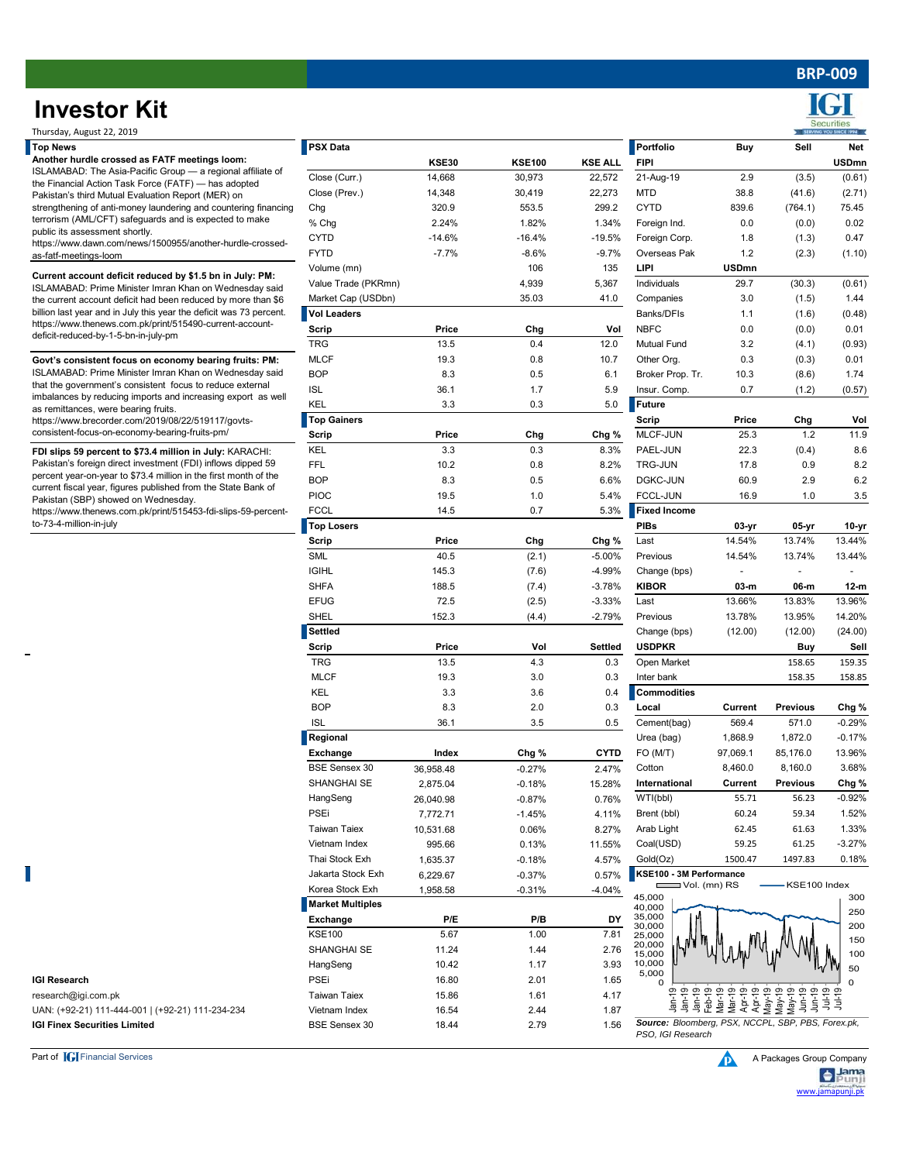# **Investor Kit**

**Top News PSX Data Portfolio Buy Sell Net KSE30 KSE100 KSE ALL FIPI USDmn** Close (Curr.) 14,668 30,973 22,572 21-Aug-19 2.9 (3.5) (0.61) Close (Prev.) 14,348 30,419 22,273 MTD 38.8 (41.6) (2.71) Chg 320.9 553.5 299.2 CYTD 839.6 (764.1) 75.45 % Chg 2.24% 1.82% 1.34% Foreign Ind. 0.0 (0.0) 0.02 CYTD -14.6% -16.4% -19.5% Foreign Corp. 1.8 (1.3) 0.47 FYTD -7.7% -8.6% -9.7% Overseas Pak 1.2 (2.3) (1.10) Volume (mn) 106 135 **LIPI USDmn** Value Trade (PKRmn) 4,939 5,367 Individuals 29.7 (30.3) (0.61) Market Cap (USDbn) 35.03 41.0 Companies 3.0 (1.5) 1.44 **Vol Leaders** Banks/DFIs 1.1 (1.6) (0.48) **Scrip Price Chg Vol** NBFC 0.0 (0.0) 0.01 TRG 13.5 0.4 12.0 Mutual Fund 3.2 (4.1) (0.93) MLCF 19.3 0.8 10.7 Other Org. 0.3 (0.3) 0.01 BOP 8.3 0.5 6.1 Broker Prop. Tr. 10.3 (8.6) 1.74 ISL 36.1 1.7 5.9 Insur. Comp. 0.7 (1.2) (0.57) KEL 3.3 0.3 5.0 **Future** Top Gainers Scrip Price Chg Vol **Scrip Price Chg Chg %** MLCF-JUN 25.3 1.2 11.9 KEL 3.3 0.3 8.3% PAEL-JUN 22.3 (0.4) 8.6 FFL 10.2 0.8 8.2% TRG-JUN 17.8 0.9 8.2 BOP 8.3 0.5 6.6% DGKC-JUN 60.9 2.9 6.2 PIOC 19.5 1.0 5.4% FCCL-JUN 16.9 1.0 3.5 FCCL 14.5 0.7 5.3% **Fixed Income Top Losers PIBs 03-yr 05-yr 10-yr Scrip Price Chg Chg %** Last 14.54% 13.74% 13.44% SML 40.5 (2.1) -5.00% Previous 14.54% 13.74% 13.44% IGIHL 145.3 (7.6) -4.99% Change (bps) - - - SHFA 188.5 (7.4) -3.78% **KIBOR 03-m 06-m 12-m** EFUG 72.5 (2.5) -3.33% Last 13.66% 13.83% 13.96% SHEL 152.3 (4.4) -2.79% Previous 13.78% 13.95% 14.20% **Settled** Change (bps) (12.00) (12.00) (24.00) **Scrip Price Vol Settled USDPKR Buy Sell** TRG 158.65 13.5 4.3 0.3 Open Market 158.65 159.35 MLCF 19.3 3.0 0.3 Inter bank 158.35 158.85 KEL 3.3 3.6 0.4 **Commodities** BOP 8.3 2.0 0.3 **Local Current Previous Chg %** ISL 36.1 3.5 0.5 Cement(bag) 569.4 571.0 -0.29% Urea (bag) 1,868.9 1,872.0 -0.17% **Exchange 1ndex Chg % CYTD** FO (M/T) 97,069.1 85,176.0 13.96% BSE Sensex 30 36,958.48 -0.27% 2.47% Cotton 8,460.0 3.68% SHANGHAI SE -0.18% 15.28% 2,875.04 **International Current Previous Chg %** HangSeng -0.87% 0.76% 26,040.98 WTI(bbl) 55.71 56.23 -0.92% PSEi -1.45% 4.11% 7,772.71 Brent (bbl) 60.24 59.34 1.52% Taiwan Taiex 0.06% 8.27% 10,531.68 Arab Light 62.45 61.63 1.33% Vietnam Index 0.13% 11.55% 995.66 Coal(USD) 59.25 61.25 -3.27% Thai Stock Exh 1,635.37 -0.18% 4.57% Gold(Oz) 1500.47 1497.83 0.18% Jakarta Stock Exh -0.37% 0.57% 6,229.67 **KSE100 - 3M Performance**  Korea Stock Exh -0.31% -4.04% 1,958.58 **##########** Thursday, August 22, 2019 **Regional FDI slips 59 percent to \$73.4 million in July:** KARACHI: Pakistan's foreign direct investment (FDI) inflows dipped 59 percent year-on-year to \$73.4 million in the first month of the current fiscal year, figures published from the State Bank of Pakistan (SBP) showed on Wednesday. https://www.thenews.com.pk/print/515453-fdi-slips-59-percentto-73-4-million-in-july **Another hurdle crossed as FATF meetings loom:**  ISLAMABAD: The Asia-Pacific Group — a regional affiliate of the Financial Action Task Force (FATF) — has adopted Pakistan's third Mutual Evaluation Report (MER) on strengthening of anti-money laundering and countering financing terrorism (AML/CFT) safeguards and is expected to make public its assessment shortly. https://www.dawn.com/news/1500955/another-hurdle-crossedas-fatf-meetings-loom **Current account deficit reduced by \$1.5 bn in July: PM:**  ISLAMABAD: Prime Minister Imran Khan on Wednesday said the current account deficit had been reduced by more than \$6 billion last year and in July this year the deficit was 73 percent. https://www.thenews.com.pk/print/515490-current-accountdeficit-reduced-by-1-5-bn-in-july-pm **Govt's consistent focus on economy bearing fruits: PM:**  ISLAMABAD: Prime Minister Imran Khan on Wednesday said that the government's consistent focus to reduce external imbalances by reducing imports and increasing export as well as remittances, were bearing fruits. https://www.brecorder.com/2019/08/22/519117/govtsconsistent-focus-on-economy-bearing-fruits-pm/

**Market Multiples**

**Exchange P/E P/B DY** KSE100 5.67 1.00 7.81 SHANGHAI SE 11.24 1.44 2.76 HangSeng 10.42 1.17 3.93



**IGI Research** PSEi 16.80 2.01 1.65

research@igi.com.pk Taiwan Taiex 15.86 1.61 4.17 UAN: (+92-21) 111-444-001 | (+92-21) 111-234-234 Vietnam Index 16.54 2.44 1.87 **IGI Finex Securities Limited BSE Sensex 30** 18.44 2.79 1.56



*PSO, IGI Research*

Jan-19

 $\Omega$ 5,000 10,000 15,000 20,000 25,000 30,000 35,000 40,000 45,000